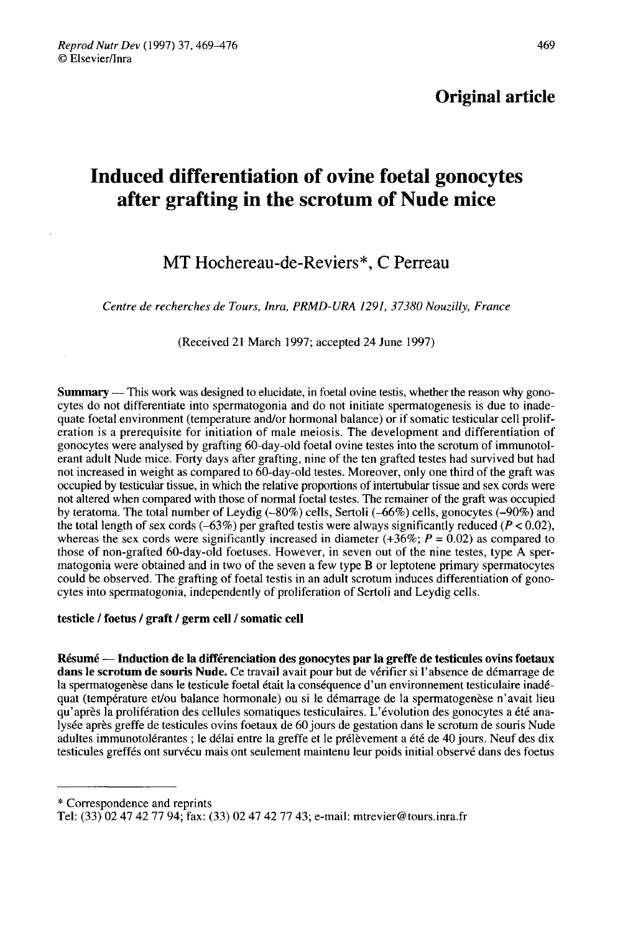# Induced differentiation of ovine foetal gonocytes after grafting in the scrotum of Nude mice

# MT Hochereau-de-Reviers\*, C Perreau

Centre de recherches de Tours, Inra, PRMD-URA 1291, 37380 Nouzilly, France

(Received 21 March 1997; accepted 24 June 1997)

Summary ― This work was designed to elucidate, in foetal ovine testis, whether the reason why gonocytes do not differentiate into spermatogonia and do not initiate spermatogenesis is due to inadequate foetal environment (temperature and/or hormonal balance) or if somatic testicular cell proliferation is a prerequisite for initiation of male meiosis. The development and differentiation of gonocytes were analysed by grafting 60-day-old foetal ovine testes into the scrotum of immunotolerant adult Nude mice. Forty days after grafting, nine of the ten grafted testes had survived but had not increased in weight as compared to 60-day-old testes. Moreover, only one third of the graft was occupied by testicular tissue, in which the relative proportions of intertubular tissue and sex cords were not altered when compared with those of normal foetal testes. The remainer of the graft was occupied by teratoma. The total number of Leydig (-80%) cells, Sertoli (-66%) cells, gonocytes (-90%) and the total length of sex cords  $(-63%)$  per grafted testis were always significantly reduced  $(P < 0.02)$ , whereas the sex cords were significantly increased in diameter (+36%;  $P = 0.02$ ) as compared to those of non-grafted 60-day-old foetuses. However, in seven out of the nine testes, type A spermatogonia were obtained and in two of the seven a few type B or leptotene primary spermatocytes could be observed. The grafting of foetal testis in an adult scrotum induces differentiation of gonocytes into spermatogonia, independently of proliferation of Sertoli and Leydig cells.

#### testicle / foetus / graft / germ cell / somatic cell

Résumé ― Induction de la différenciation des gonocytes par la greffe de testicules ovins foetaux dans le scrotum de souris Nude. Ce travail avait pour but de vérifier si l'absence de démarrage de la spermatogenèse dans le testicule foetal était la conséquence d'un environnement testiculaire inadéquat (température et/ou balance hormonale) ou si le démarrage de la spermatogenèse n'avait lieu qu'après la prolifération des cellules somatiques testiculaires. L'évolution des gonocytes a été analysée après greffe de testicules ovins foetaux de 60 jours de gestation dans le scrotum de souris Nude adultes immunotolérantes ; le délai entre la greffe et le prélèvement a été de 40 jours. Neuf des dix testicules greffés ont survécu mais ont seulement maintenu leur poids initial observé dans des foetus

\* Correspondence and reprints

Tel: (33) 02 47 42 77 94; fax: (33) 02 47 42 77 43; e-mail: mtrevier@tours.inra.fr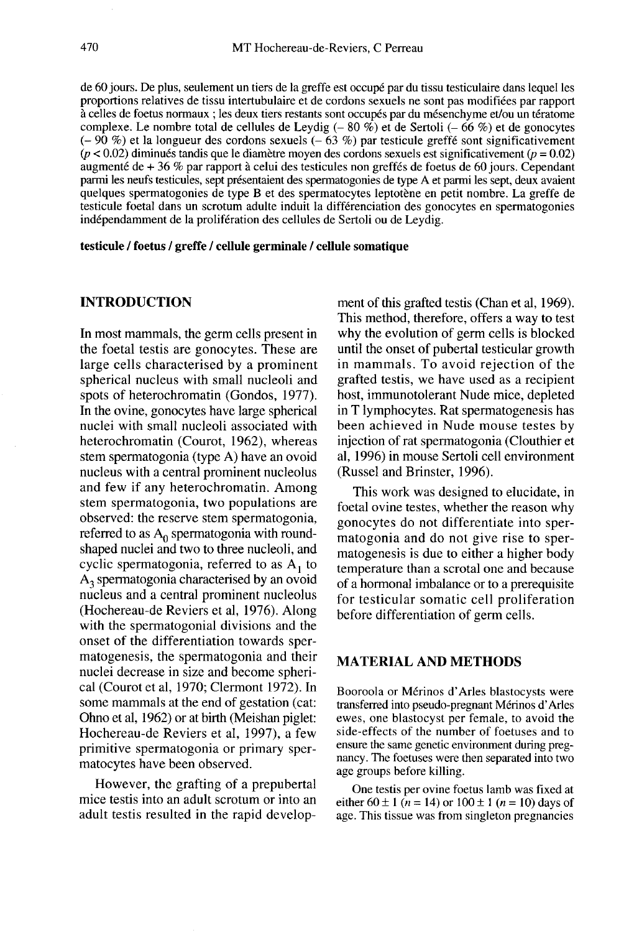de 60 jours. De plus, seulement un tiers de la greffe est occupé par du tissu testiculaire dans lequel les proportions relatives de tissu intertubulaire et de cordons sexuels ne sont pas modifiées par rapport à celles de foetus normaux ; les deux tiers restants sont occupés par du mésenchyme et/ou un tératome complexe. Le nombre total de cellules de Leydig  $(-80\%)$  et de Sertoli  $(-66\%)$  et de gonocytes  $(-90\%)$  et la longueur des cordons sexuels  $(-63\%)$  par testicule greffé sont significativement  $(p < 0.02)$  diminués tandis que le diamètre moyen des cordons sexuels est significativement ( $p = 0.02$ ) augmenté de + 36 % par rapport à celui des testicules non greffés de foetus de 60 jours. Cependant parmi les neufs testicules, sept présentaient des spermatogonies de type A et parmi les sept, deux avaient quelques spermatogonies de type B et des spermatocytes leptotène en petit nombre. La greffe de testicule foetal dans un scrotum adulte induit la différenciation des gonocytes en spermatogonies indépendamment de la prolifération des cellules de Sertoli ou de Leydig.

testicule / foetus / greffe / cellule germinale / cellule somatique

# INTRODUCTION

In most mammals, the germ cells present in the foetal testis are gonocytes. These are large cells characterised by a prominent spherical nucleus with small nucleoli and spots of heterochromatin (Gondos, 1977). In the ovine, gonocytes have large spherical nuclei with small nucleoli associated with heterochromatin (Courot, 1962), whereas stem spermatogonia (type A) have an ovoid nucleus with a central prominent nucleolus and few if any heterochromatin. Among stem spermatogonia, two populations are observed: the reserve stem spermatogonia, referred to as  $A_0$  spermatogonia with roundshaped nuclei and two to three nucleoli, and cyclic spermatogonia, referred to as  $A_1$  to  $A<sub>3</sub>$  spermatogonia characterised by an ovoid nucleus and a central prominent nucleolus (Hochereau-de Reviers et al, 1976). Along with the spermatogonial divisions and the onset of the differentiation towards spermatogenesis, the spermatogonia and their nuclei decrease in size and become spherical (Courot et al, 1970; Clermont 1972). In some mammals at the end of gestation (cat: Ohno et al, 1962) or at birth (Meishan piglet: Hochereau-de Reviers et al, 1997), a few primitive spermatogonia or primary spermatocytes have been observed.

However, the grafting of a prepubertal mice testis into an adult scrotum or into an adult testis resulted in the rapid development of this grafted testis (Chan et al, 1969). This method, therefore, offers a way to test why the evolution of germ cells is blocked until the onset of pubertal testicular growth in mammals. To avoid rejection of the grafted testis, we have used as a recipient host, immunotolerant Nude mice, depleted in T lymphocytes. Rat spermatogenesis has been achieved in Nude mouse testes by injection of rat spermatogonia (Clouthier et al, 1996) in mouse Sertoli cell environment (Russel and Brinster, 1996).

This work was designed to elucidate, in foetal ovine testes, whether the reason why gonocytes do not differentiate into spermatogonia and do not give rise to spermatogenesis is due to either a higher body temperature than a scrotal one and because of a hormonal imbalance or to a prerequisite for testicular somatic cell proliferation before differentiation of germ cells.

# MATERIAL AND METHODS

Booroola or M6rinos d'Arles blastocysts were transferred into pseudo-pregnant M6rinos d'Arles ewes, one blastocyst per female, to avoid the side-effects of the number of foetuses and to ensure the same genetic environment during pregnancy. The foetuses were then separated into two age groups before killing.

One testis per ovine foetus lamb was fixed at either  $60 \pm 1$  ( $n = 14$ ) or  $100 \pm 1$  ( $n = 10$ ) days of age. This tissue was from singleton pregnancies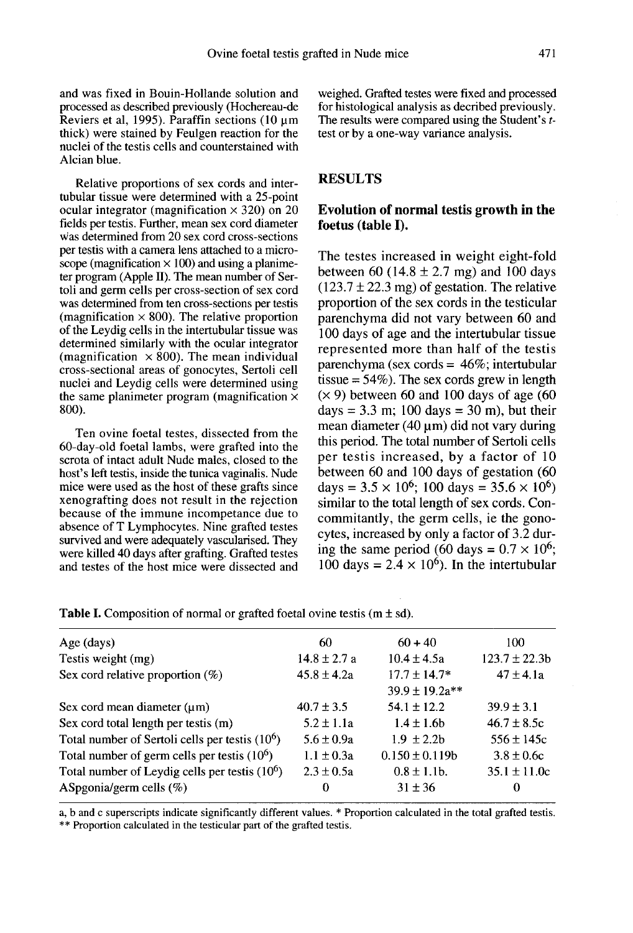and was fixed in Bouin-Hollande solution and processed as described previously (Hochereau-de Reviers et al, 1995). Paraffin sections  $(10 \mu m)$ thick) were stained by Feulgen reaction for the nuclei of the testis cells and counterstained with Alcian blue.

Relative proportions of sex cords and intertubular tissue were determined with a 25-point ocular integrator (magnification  $\times$  320) on 20 fields per testis. Further, mean sex cord diameter was determined from 20 sex cord cross-sections per testis with a camera lens attached to a microscope (magnification  $\times$  100) and using a planimeter program (Apple II). The mean number of Sertoli and germ cells per cross-section of sex cord was determined from ten cross-sections per testis (magnification  $\times$  800). The relative proportion of the Leydig cells in the intertubular tissue was determined similarly with the ocular integrator (magnification  $\times$  800). The mean individual cross-sectional areas of gonocytes, Sertoli cell nuclei and Leydig cells were determined using the same planimeter program (magnification  $\times$ 800).

Ten ovine foetal testes, dissected from the 60-day-old foetal lambs, were grafted into the scrota of intact adult Nude males, closed to the host's left testis, inside the tunica vaginalis. Nude mice were used as the host of these grafts since xenografting does not result in the rejection because of the immune incompetance due to absence of T Lymphocytes. Nine grafted testes survived and were adequately vascularised. They were killed 40 days after grafting. Grafted testes and testes of the host mice were dissected and

weighed. Grafted testes were fixed and processed for histological analysis as decribed previously. The results were compared using the Student's ttest or by a one-way variance analysis.

### **RESULTS**

#### Evolution of normal testis growth in the foetus (table I).

The testes increased in weight eight-fold between 60 (14.8  $\pm$  2.7 mg) and 100 days  $(123.7 \pm 22.3 \text{ mg})$  of gestation. The relative proportion of the sex cords in the testicular parenchyma did not vary between 60 and 100 days of age and the intertubular tissue represented more than half of the testis parenchyma (sex cords = 46%; intertubular tissue  $= 54\%$ ). The sex cords grew in length  $(x 9)$  between 60 and 100 days of age (60) days  $= 3.3$  m; 100 days  $= 30$  m), but their mean diameter (40  $\mu$ m) did not vary during this period. The total number of Sertoli cells per testis increased, by a factor of 10 between 60 and 100 days of gestation (60 days =  $3.5 \times 10^6$ ; 100 days =  $35.6 \times 10^6$ ) similar to the total length of sex cords. Concommitantly, the germ cells, ie the gonocytes, increased by only a factor of 3.2 durcytes, increased by only a factor of 3.2 during the same period (60 days =  $0.7 \times 10^6$ );<br>100 days =  $2.4 \times 10^6$ ). In the intertubular

| Age (days)                                       | 60               | $60 + 40$          | 100              |
|--------------------------------------------------|------------------|--------------------|------------------|
| Testis weight (mg)                               | $14.8 \pm 2.7$ a | $10.4 \pm 4.5a$    | $123.7 \pm 22.3$ |
| Sex cord relative proportion $(\%)$              | $45.8 \pm 4.2a$  | $17.7 \pm 14.7*$   | $47 \pm 4.1a$    |
|                                                  |                  | $39.9 \pm 19.2a**$ |                  |
| Sex cord mean diameter $(\mu m)$                 | $40.7 \pm 3.5$   | $54.1 \pm 12.2$    | $39.9 \pm 3.1$   |
| Sex cord total length per testis (m)             | $5.2 \pm 1.1a$   | $1.4 \pm 1.6$      | $46.7 \pm 8.5c$  |
| Total number of Sertoli cells per testis $(106)$ | $5.6 \pm 0.9a$   | $1.9 \pm 2.2b$     | $556 \pm 145c$   |
| Total number of germ cells per test s $(10^6)$   | $1.1 \pm 0.3a$   | $0.150 \pm 0.119$  | $3.8 \pm 0.6c$   |
| Total number of Leydig cells per testis $(10^6)$ | $2.3 \pm 0.5a$   | $0.8 \pm 1.1$ b.   | $35.1 \pm 11.0c$ |
| ASpgonia/germ cells (%)                          | 0                | $31 \pm 36$        | 0                |
|                                                  |                  |                    |                  |

**Table I.** Composition of normal or grafted foetal ovine test is  $(m \pm sd)$ .

a, b and c superscripts indicate significantly different values. \* Proportion calculated in the total grafted testis. \*\* Proportion calculated in the testicular part of the grafted testis.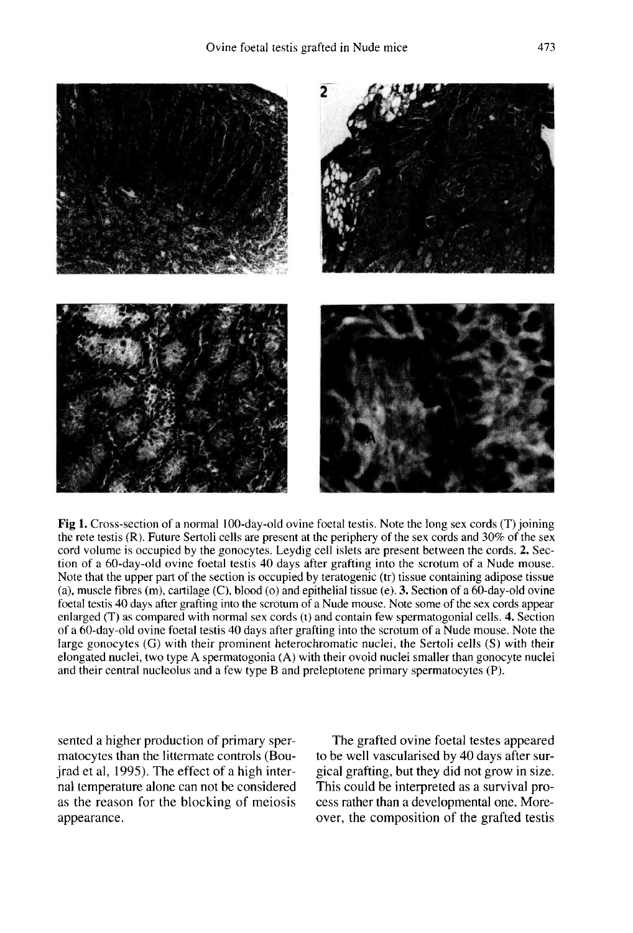

Fig 1. Cross-section of a normal 100-day-old ovine foetal testis. Note the long sex cords (T) joining the rete testis (R). Future Sertoli cells are present at the periphery of the sex cords and 30% of the sex cord volume is occupied by the gonocytes. Leydig cell islets are present between the cords. 2. Section of a 60-day-old ovine foetal testis 40 days after grafting into the scrotum of a Nude mouse. Note that the upper part of the section is occupied by teratogenic (tr) tissue containing adipose tissue (a), muscle fibres (m), cartilage (C), blood (o) and epithelial tissue (e). 3. Section of a  $60$ -day-old ovine foetal test is 40 days after grafting into the scrotum of a Nude mouse. Note some of the sex cords appear enlarged (T) as compared with normal sex cords (t) and contain few spermatogonial cells. 4. Section of a 60-day-old ovine foetal test s 40 days after grafting into the scrotum of a Nude mouse. Note the large gonocytes (G) with their prominent heterochromatic nuclei, the Sertoli cells (S) with their elongated nuclei, two type A spermatogonia (A) with their ovoid nuclei smaller than gonocyte nuclei and their central nucleolus and a few type B and preleptotene primary spermatocytes (P).

sented a higher production of primary spermatocytes than the littermate controls (Boujrad et al, 1995). The effect of a high internal temperature alone can not be considered as the reason for the blocking of meiosis appearance.

The grafted ovine foetal testes appeared to be well vascularised by 40 days after surgical grafting, but they did not grow in size. This could be interpreted as a survival process rather than a developmental one. Moreover, the composition of the grafted testis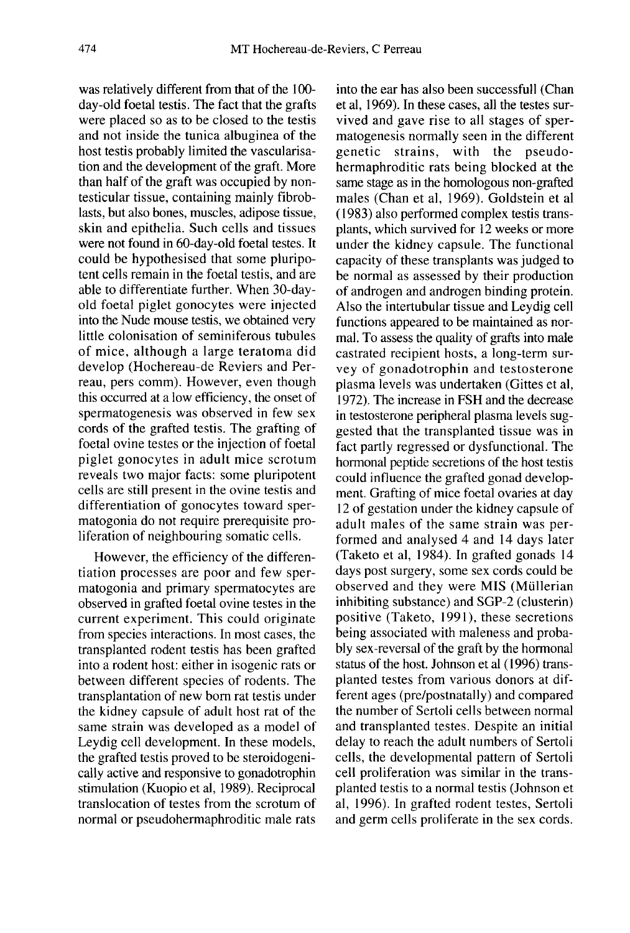was relatively different from that of the 100 day-old foetal testis. The fact that the grafts were placed so as to be closed to the testis and not inside the tunica albuginea of the host testis probably limited the vascularisation and the development of the graft. More than half of the graft was occupied by nontesticular tissue, containing mainly fibroblasts, but also bones, muscles, adipose tissue, skin and epithelia. Such cells and tissues were not found in 60-day-old foetal testes. It could be hypothesised that some pluripo tent cells remain in the foetal testis, and are able to differentiate further. When 30-dayold foetal piglet gonocytes were injected into the Nude mouse testis, we obtained very little colonisation of seminiferous tubules of mice, although a large teratoma did develop (Hochereau-de Reviers and Perreau, pers comm). However, even though this occurred at a low efficiency, the onset of spermatogenesis was observed in few sex cords of the grafted testis. The grafting of foetal ovine testes or the injection of foetal piglet gonocytes in adult mice scrotum reveals two major facts: some pluripotent cells are still present in the ovine testis and differentiation of gonocytes toward spermatogonia do not require prerequisite proliferation of neighbouring somatic cells.

However, the efficiency of the differentiation processes are poor and few spermatogonia and primary spermatocytes are observed in grafted foetal ovine testes in the current experiment. This could originate from species interactions. In most cases, the transplanted rodent testis has been grafted into a rodent host: either in isogenic rats or between different species of rodents. The transplantation of new born rat testis under the kidney capsule of adult host rat of the same strain was developed as a model of Leydig cell development. In these models, the grafted testis proved to be steroidogenically active and responsive to gonadotrophin stimulation (Kuopio et al, 1989). Reciprocal translocation of testes from the scrotum of normal or pseudohermaphroditic male rats

into the ear has also been successfull (Chan et al, 1969). In these cases, all the testes survived and gave rise to all stages of spermatogenesis normally seen in the different genetic strains, with the pseudohermaphroditic rats being blocked at the same stage as in the homologous non-grafted males (Chan et al, 1969). Goldstein et al (1983) also performed complex testis transplants, which survived for 12 weeks or more under the kidney capsule. The functional capacity of these transplants was judged to be normal as assessed by their production of androgen and androgen binding protein. Also the intertubular tissue and Leydig cell functions appeared to be maintained as normal. To assess the quality of grafts into male castrated recipient hosts, a long-term survey of gonadotrophin and testosterone plasma levels was undertaken (Gittes et al, 1972). The increase in FSH and the decrease in testosterone peripheral plasma levels suggested that the transplanted tissue was in fact partly regressed or dysfunctional. The hormonal peptide secretions of the host testis could influence the grafted gonad develop ment. Grafting of mice foetal ovaries at day 12 of gestation under the kidney capsule of adult males of the same strain was performed and analysed 4 and 14 days later (Taketo et al, 1984). In grafted gonads 14 days post surgery, some sex cords could be observed and they were MIS (Mullerian inhibiting substance) and SGP-2 (clusterin) positive (Taketo, 1991), these secretions being associated with maleness and probably sex-reversal of the graft by the hormonal status of the host. Johnson et al (1996) transplanted testes from various donors at different ages (pre/postnatally) and compared the number of Sertoli cells between normal and transplanted testes. Despite an initial delay to reach the adult numbers of Sertoli cells, the developmental pattern of Sertoli cell proliferation was similar in the transplanted testis to a normal testis (Johnson et al, 1996). In grafted rodent testes, Sertoli and germ cells proliferate in the sex cords.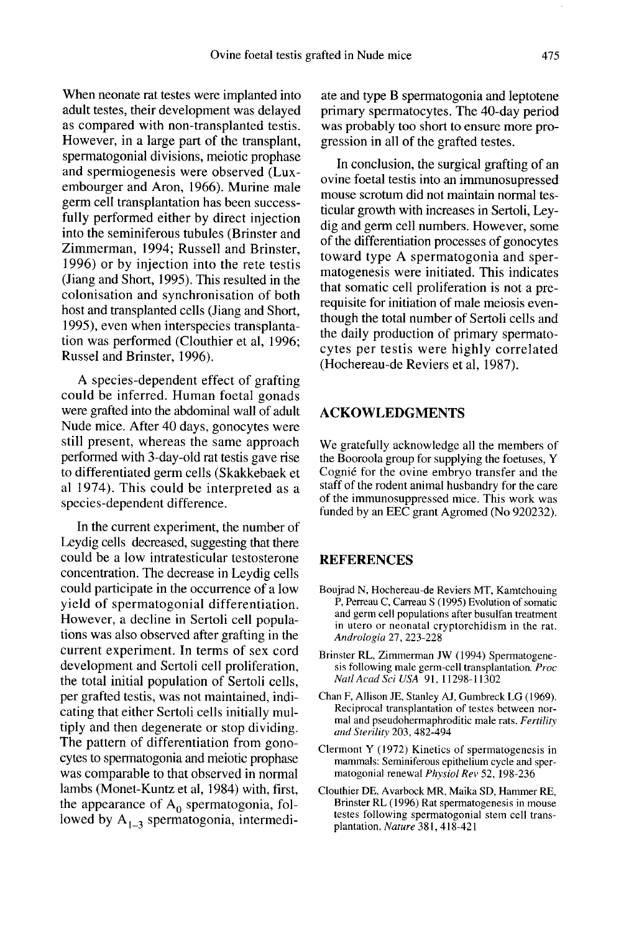When neonate rat testes were implanted into adult testes, their development was delayed as compared with non-transplanted testis. However, in a large part of the transplant, spermatogonial divisions, meiotic prophase and spermiogenesis were observed (Luxembourger and Aron, 1966). Murine male germ cell transplantation has been successfully performed either by direct injection into the seminiferous tubules (Brinster and Zimmerman, 1994; Russell and Brinster, 1996) or by injection into the rete testis (Jiang and Short, 1995). This resulted in the colonisation and synchronisation of both host and transplanted cells (Jiang and Short, 1995), even when interspecies transplantation was performed (Clouthier et al, 1996; Russel and Brinster, 1996).

A species-dependent effect of grafting could be inferred. Human foetal gonads were grafted into the abdominal wall of adult Nude mice. After 40 days, gonocytes were still present, whereas the same approach performed with 3-day-old rat testis gave rise to differentiated germ cells (Skakkebaek et al 1974). This could be interpreted as a species-dependent difference.

In the current experiment, the number of Leydig cells decreased, suggesting that there could be a low intratesticular testosterone concentration. The decrease in Leydig cells could participate in the occurrence of a low yield of spermatogonial differentiation. However, a decline in Sertoli cell populations was also observed after grafting in the current experiment. In terms of sex cord development and Sertoli cell proliferation, the total initial population of Sertoli cells, per grafted testis, was not maintained, indicating that either Sertoli cells initially multiply and then degenerate or stop dividing. The pattern of differentiation from gonocytes to spermatogonia and meiotic prophase was comparable to that observed in normal lambs (Monet-Kuntz et al, 1984) with, first, the appearance of  $A_0$  spermatogonia, followed by  $A_{1-3}$  spermatogonia, intermediate and type B spermatogonia and leptotene primary spermatocytes. The 40-day period was probably too short to ensure more progression in all of the grafted testes.

In conclusion, the surgical grafting of an ovine foetal testis into an immunosupressed mouse scrotum did not maintain normal testicular growth with increases in Sertoli, Leydig and germ cell numbers. However, some of the differentiation processes of gonocytes toward type A spermatogonia and spermatogenesis were initiated. This indicates that somatic cell proliferation is not a prerequisite for initiation of male meiosis eventhough the total number of Sertoli cells and the daily production of primary spermatocytes per testis were highly correlated (Hochereau-de Reviers et al, 1987).

### ACKOWLEDGMENTS

We gratefully acknowledge all the members of the Booroola group for supplying the foetuses, Y Cognié for the ovine embryo transfer and the staff of the rodent animal husbandry for the care of the immunosuppressed mice. This work was funded by an EEC grant Agromed (No 920232).

#### REFERENCES

- Boujrad N, Hochereau-de Reviers MT, Kamtchouing P, Perreau C, Carreau S (1995) Evolution of somatic and germ cell populations after busulfan treatment in utero or neonatal cryptorchidism in the rat. Andrologia 27, 223-228
- Brinster RL, Zimmerman JW (1994) Spermatogene- sis following male germ-cell transplantation. Proc Natl Acad Sci USA 91, 11298-11302
- Chan F, Allison JE, Stanley AJ, Gumbreck LG (1969). Reciprocal transplantation of testes between normal and pseudohermaphroditic male rats. Fertility and Sterility 203, 482-494
- Clermont Y (1972) Kinetics of spermatogenesis in mammals: Seminiferous epithelium cycle and spermatogonial renewal Physiol Rev 52, 198-236
- Clouthier DE, Avarbock MR, Maika SD, Hammer RE, Brinster RL (1996) Rat spermatogenesis in mouse testes following spermatogonial stem cell transplantation. Nature 381, 418-421